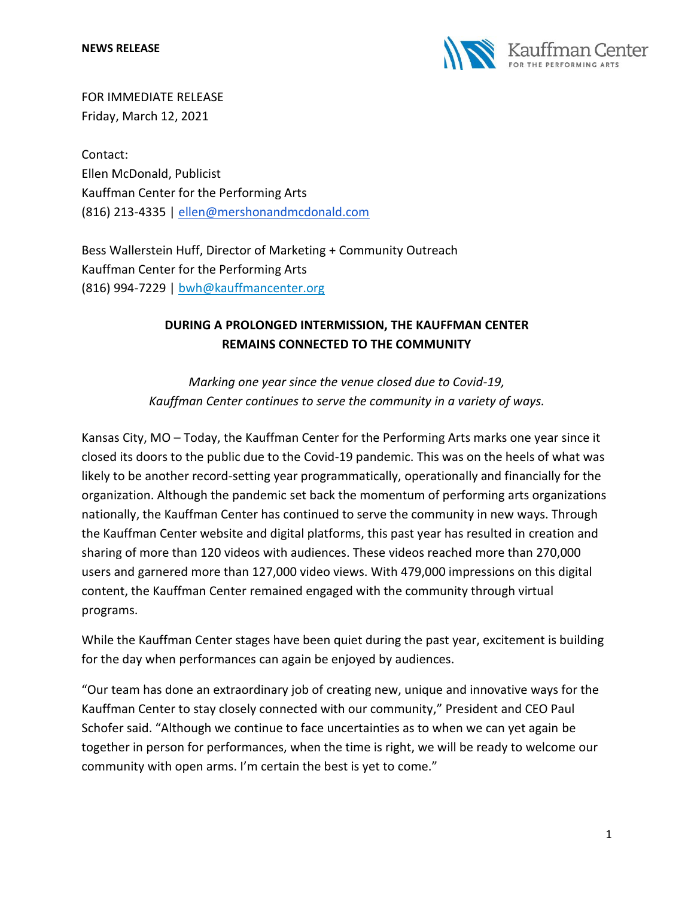

FOR IMMEDIATE RELEASE Friday, March 12, 2021

Contact: Ellen McDonald, Publicist Kauffman Center for the Performing Arts (816) 213-4335 | [ellen@mershonandmcdonald.com](mailto:ellen@mershonandmcdonald.com)

Bess Wallerstein Huff, Director of Marketing + Community Outreach Kauffman Center for the Performing Arts (816) 994-7229 | [bwh@kauffmancenter.org](mailto:bwh@kauffmancenter.org)

# **DURING A PROLONGED INTERMISSION, THE KAUFFMAN CENTER REMAINS CONNECTED TO THE COMMUNITY**

*Marking one year since the venue closed due to Covid-19, Kauffman Center continues to serve the community in a variety of ways.*

Kansas City, MO – Today, the Kauffman Center for the Performing Arts marks one year since it closed its doors to the public due to the Covid-19 pandemic. This was on the heels of what was likely to be another record-setting year programmatically, operationally and financially for the organization. Although the pandemic set back the momentum of performing arts organizations nationally, the Kauffman Center has continued to serve the community in new ways. Through the Kauffman Center website and digital platforms, this past year has resulted in creation and sharing of more than 120 videos with audiences. These videos reached more than 270,000 users and garnered more than 127,000 video views. With 479,000 impressions on this digital content, the Kauffman Center remained engaged with the community through virtual programs.

While the Kauffman Center stages have been quiet during the past year, excitement is building for the day when performances can again be enjoyed by audiences.

"Our team has done an extraordinary job of creating new, unique and innovative ways for the Kauffman Center to stay closely connected with our community," President and CEO Paul Schofer said. "Although we continue to face uncertainties as to when we can yet again be together in person for performances, when the time is right, we will be ready to welcome our community with open arms. I'm certain the best is yet to come."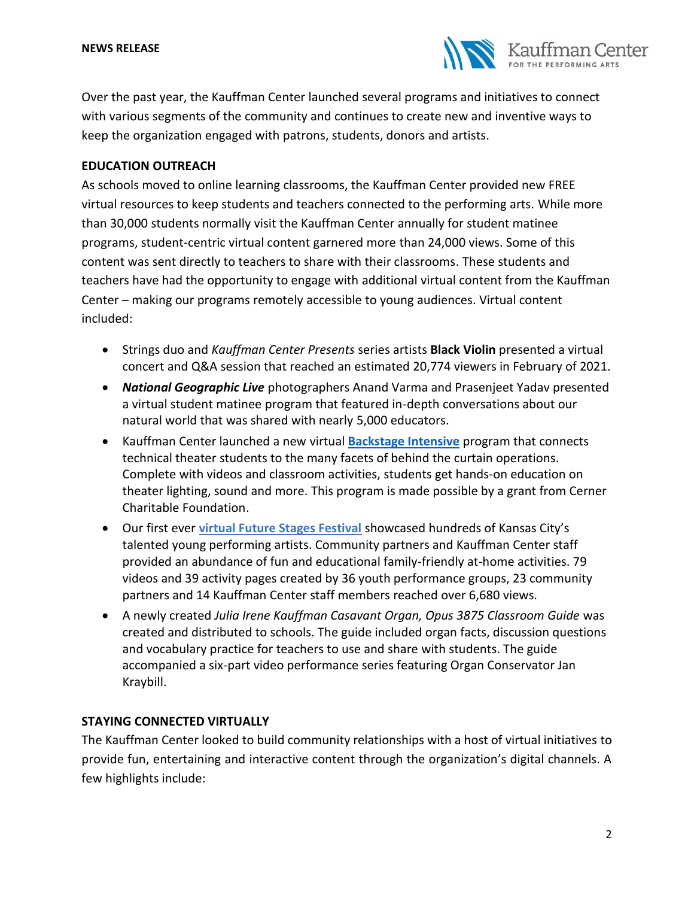

Over the past year, the Kauffman Center launched several programs and initiatives to connect with various segments of the community and continues to create new and inventive ways to keep the organization engaged with patrons, students, donors and artists.

## **EDUCATION OUTREACH**

As schools moved to online learning classrooms, the Kauffman Center provided new FREE virtual resources to keep students and teachers connected to the performing arts. While more than 30,000 students normally visit the Kauffman Center annually for student matinee programs, student-centric virtual content garnered more than 24,000 views. Some of this content was sent directly to teachers to share with their classrooms. These students and teachers have had the opportunity to engage with additional virtual content from the Kauffman Center – making our programs remotely accessible to young audiences. Virtual content included:

- Strings duo and *Kauffman Center Presents* series artists **Black Violin** presented a virtual concert and Q&A session that reached an estimated 20,774 viewers in February of 2021.
- *National Geographic Live* photographers Anand Varma and Prasenjeet Yadav presented a virtual student matinee program that featured in-depth conversations about our natural world that was shared with nearly 5,000 educators.
- Kauffman Center launched a new virtual **[Backstage Intensive](https://www.kauffmancenter.org/open-doors/spotlight-on-youth/)** program that connects technical theater students to the many facets of behind the curtain operations. Complete with videos and classroom activities, students get hands-on education on theater lighting, sound and more. This program is made possible by a grant from Cerner Charitable Foundation.
- Our first ever **[virtual Future Stages Festival](https://www.kauffmancenter.org/open-doors/future-stages-festival/)** showcased hundreds of Kansas City's talented young performing artists. Community partners and Kauffman Center staff provided an abundance of fun and educational family-friendly at-home activities. 79 videos and 39 activity pages created by 36 youth performance groups, 23 community partners and 14 Kauffman Center staff members reached over 6,680 views.
- A newly created *Julia Irene Kauffman Casavant Organ, Opus 3875 Classroom Guide* was created and distributed to schools. The guide included organ facts, discussion questions and vocabulary practice for teachers to use and share with students. The guide accompanied a six-part video performance series featuring Organ Conservator Jan Kraybill.

# **STAYING CONNECTED VIRTUALLY**

The Kauffman Center looked to build community relationships with a host of virtual initiatives to provide fun, entertaining and interactive content through the organization's digital channels. A few highlights include: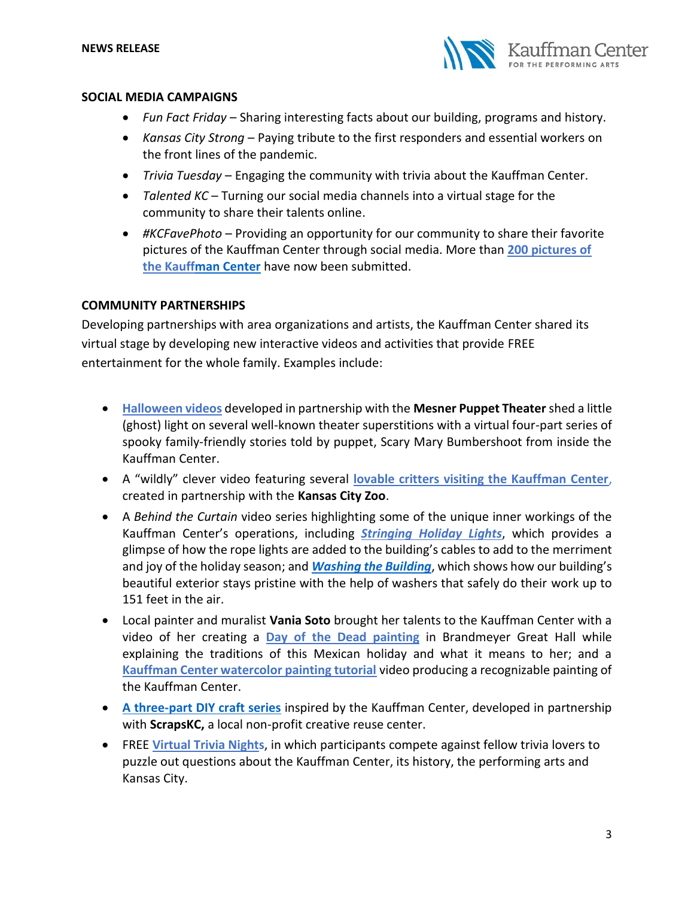

#### **SOCIAL MEDIA CAMPAIGNS**

- *Fun Fact Friday* Sharing interesting facts about our building, programs and history.
- *Kansas City Strong*  Paying tribute to the first responders and essential workers on the front lines of the pandemic.
- *Trivia Tuesday* Engaging the community with trivia about the Kauffman Center.
- *Talented KC* Turning our social media channels into a virtual stage for the community to share their talents online.
- *#KCFavePhoto –* Providing an opportunity for our community to share their favorite pictures of the Kauffman Center through social media. More than **[200 pictures of](https://www.instagram.com/explore/tags/kcfavephoto/)  [the Kauffman Center](https://www.instagram.com/explore/tags/kcfavephoto/)** have now been submitted.

#### **COMMUNITY PARTNERSHIPS**

Developing partnerships with area organizations and artists, the Kauffman Center shared its virtual stage by developing new interactive videos and activities that provide FREE entertainment for the whole family. Examples include:

- **[Halloween videos](https://www.kauffmancenter.org/news/bubble-bubble-toil-and-trouble/)** developed in partnership with the **Mesner Puppet Theater** shed a little (ghost) light on several well-known theater superstitions with a virtual four-part series of spooky family-friendly stories told by puppet, Scary Mary Bumbershoot from inside the Kauffman Center.
- A "wildly" clever video featuring several **[lovable critters visiting the Kauffman Center](https://www.kauffmancenter.org/news/while-the-artists-are-away-the-animals-will-play/)**, created in partnership with the **Kansas City Zoo**.
- A *Behind the Curtain* video series highlighting some of the unique inner workings of the Kauffman Center's operations, including *[Stringing Holiday Lights](https://www.facebook.com/watch/?v=228033055414175)*, which provides a glimpse of how the rope lights are added to the building's cables to add to the merriment and joy of the holiday season; and *[Washing the Building](https://www.facebook.com/KauffmanCenter/videos/677572519799026)*, which shows how our building's beautiful exterior stays pristine with the help of washers that safely do their work up to 151 feet in the air.
- Local painter and muralist **Vania Soto** brought her talents to the Kauffman Center with a video of her creating a **[Day of the Dead painting](https://www.youtube.com/watch?v=WUhrZZHWus8)** in Brandmeyer Great Hall while explaining the traditions of this Mexican holiday and what it means to her; and a **[Kauffman Center watercolor painting tutorial](https://www.youtube.com/watch?v=5v6ZgHLzwGY)** video producing a recognizable painting of the Kauffman Center.
- **A three-part [DIY craft series](https://www.kauffmancenter.org/news/painting-and-crafting-with-the-kauffman-center/)** inspired by the Kauffman Center, developed in partnership with **ScrapsKC,** a local non-profit creative reuse center.
- FREE **[Virtual Trivia Nights](https://www.kauffmancenter.org/trivia/)**, in which participants compete against fellow trivia lovers to puzzle out questions about the Kauffman Center, its history, the performing arts and Kansas City.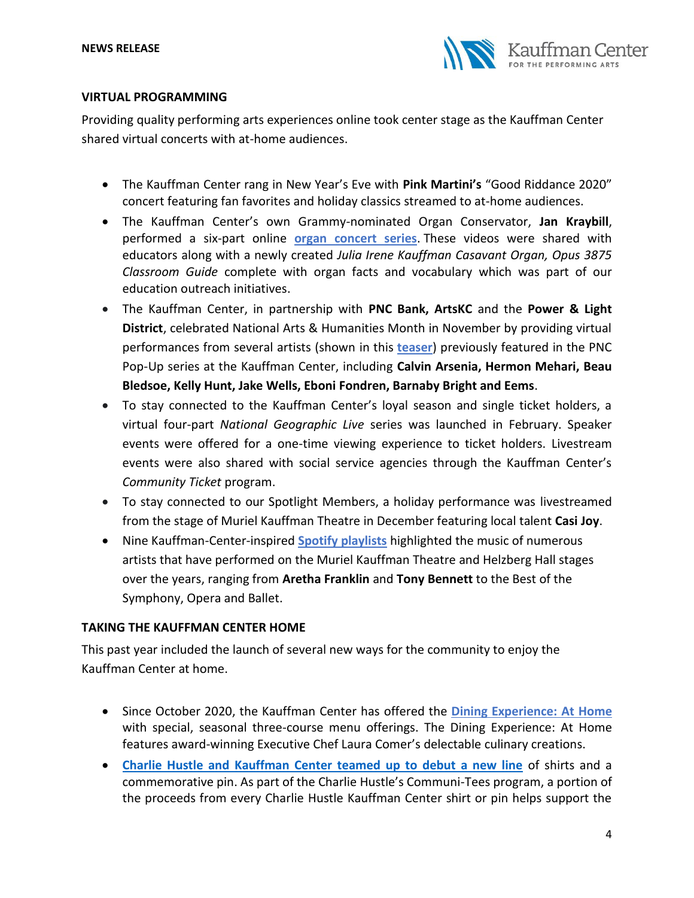

## **VIRTUAL PROGRAMMING**

Providing quality performing arts experiences online took center stage as the Kauffman Center shared virtual concerts with at-home audiences.

- The Kauffman Center rang in New Year's Eve with **Pink Martini's** "Good Riddance 2020" concert featuring fan favorites and holiday classics streamed to at-home audiences.
- The Kauffman Center's own Grammy-nominated Organ Conservator, **Jan Kraybill**, performed a six-part online **[organ concert series](https://www.youtube.com/user/KauffmanCenter)**. These videos were shared with educators along with a newly created *Julia Irene Kauffman Casavant Organ, Opus 3875 Classroom Guide* complete with organ facts and vocabulary which was part of our education outreach initiatives.
- The Kauffman Center, in partnership with **PNC Bank, ArtsKC** and the **Power & Light District**, celebrated National Arts & Humanities Month in November by providing virtual performances from several artists (shown in this **[teaser](https://www.facebook.com/KCPowerLightDistrict/videos/1554109978108734)**) previously featured in the PNC Pop-Up series at the Kauffman Center, including **Calvin Arsenia, Hermon Mehari, Beau Bledsoe, Kelly Hunt, Jake Wells, Eboni Fondren, Barnaby Bright and Eems**.
- To stay connected to the Kauffman Center's loyal season and single ticket holders, a virtual four-part *National Geographic Live* series was launched in February. Speaker events were offered for a one-time viewing experience to ticket holders. Livestream events were also shared with social service agencies through the Kauffman Center's *Community Ticket* program.
- To stay connected to our Spotlight Members, a holiday performance was livestreamed from the stage of Muriel Kauffman Theatre in December featuring local talent **Casi Joy**.
- Nine Kauffman-Center-inspired **[Spotify playlists](https://www.kauffmancenter.org/news/spotify-playlists/)** highlighted the music of numerous artists that have performed on the Muriel Kauffman Theatre and Helzberg Hall stages over the years, ranging from **Aretha Franklin** and **Tony Bennett** to the Best of the Symphony, Opera and Ballet.

# **TAKING THE KAUFFMAN CENTER HOME**

This past year included the launch of several new ways for the community to enjoy the Kauffman Center at home.

- Since October 2020, the Kauffman Center has offered the **[Dining Experience:](https://www.kauffmancenter.org/the-center/dining-at-home/) At Home** with special, seasonal three-course menu offerings. The Dining Experience: At Home features award-winning Executive Chef Laura Comer's delectable culinary creations.
- **[Charlie Hustle and Kauffman Center teamed up to debut a new line](https://www.charliehustle.com/collections/communitees#utm_source=Various&utm_medium=Various&utm_campaign=REF_20210101_Kauffman&utm_content=2021%20Communi-Tee)** of shirts and a commemorative pin. As part of the Charlie Hustle's Communi-Tees program, a portion of the proceeds from every Charlie Hustle Kauffman Center shirt or pin helps support the